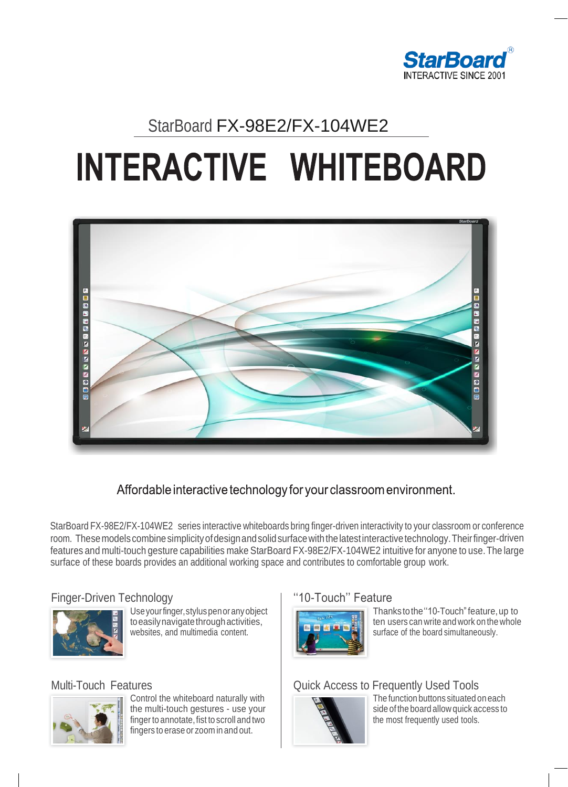

## StarBoard FX-98E2/FX-104WE2

# **INTERACTIVE WHITEBOARD**



Affordable interactive technology for your classroom environment.

StarBoard FX-98E2/FX-104WE2 series interactive whiteboards bring finger-driven interactivity to your classroom or conference room. These models combine simplicity of design and solid surface with the latest interactive technology. Their finger-driven features and multi-touch gesture capabilities make StarBoard FX-98E2/FX-104WE2 intuitive for anyone to use.The large surface of these boards provides an additional working space and contributes to comfortable group work.

## Finger-Driven Technology



Useyourfinger,styluspenoranyobject to easily navigate through activities, websites, and multimedia content.

## Multi-Touch Features



Control the whiteboard naturally with the multi-touch gestures - use your finger to annotate, fist to scroll and two fingers to erase or zoom in and out.

## ''10-Touch'' Feature



Thankstothe''10-Touch"feature,up to ten users can write and work on the whole surface of the board simultaneously.

## Quick Access to Frequently Used Tools



The function buttons situated oneach side of the board allow quick access to the most frequently used tools.